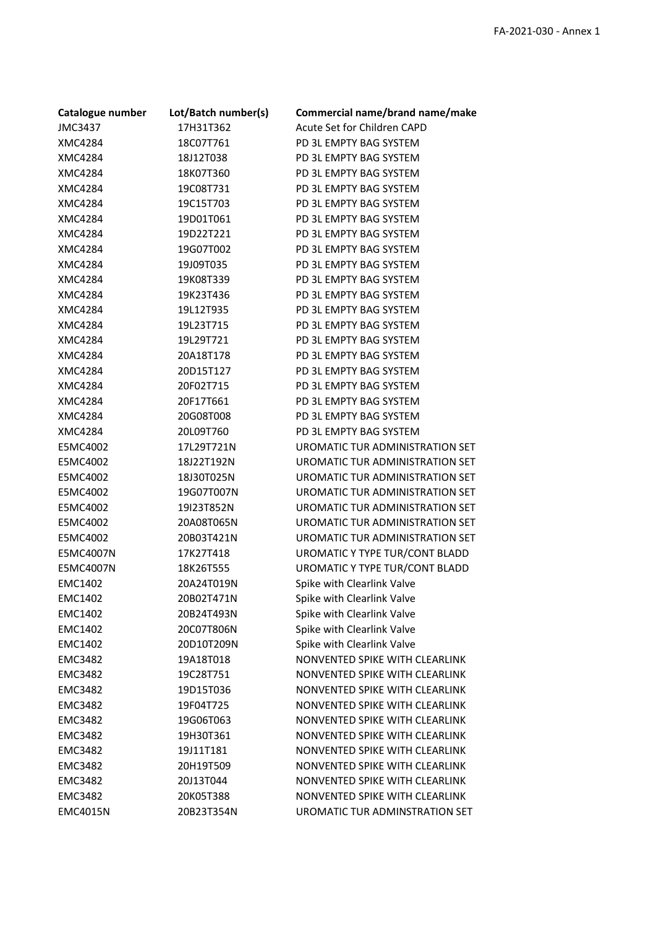| Catalogue number | Lot/Batch number(s) | Commercial name/brand name/make |
|------------------|---------------------|---------------------------------|
| <b>JMC3437</b>   | 17H31T362           | Acute Set for Children CAPD     |
| XMC4284          | 18C07T761           | PD 3L EMPTY BAG SYSTEM          |
| XMC4284          | 18J12T038           | PD 3L EMPTY BAG SYSTEM          |
| XMC4284          | 18K07T360           | PD 3L EMPTY BAG SYSTEM          |
| XMC4284          | 19C08T731           | PD 3L EMPTY BAG SYSTEM          |
| XMC4284          | 19C15T703           | PD 3L EMPTY BAG SYSTEM          |
| XMC4284          | 19D01T061           | PD 3L EMPTY BAG SYSTEM          |
| XMC4284          | 19D22T221           | PD 3L EMPTY BAG SYSTEM          |
| XMC4284          | 19G07T002           | PD 3L EMPTY BAG SYSTEM          |
| XMC4284          | 19J09T035           | PD 3L EMPTY BAG SYSTEM          |
| XMC4284          | 19K08T339           | PD 3L EMPTY BAG SYSTEM          |
| XMC4284          | 19K23T436           | PD 3L EMPTY BAG SYSTEM          |
| XMC4284          | 19L12T935           | PD 3L EMPTY BAG SYSTEM          |
| XMC4284          | 19L23T715           | PD 3L EMPTY BAG SYSTEM          |
| XMC4284          | 19L29T721           | PD 3L EMPTY BAG SYSTEM          |
| XMC4284          | 20A18T178           | PD 3L EMPTY BAG SYSTEM          |
| XMC4284          | 20D15T127           | PD 3L EMPTY BAG SYSTEM          |
| XMC4284          | 20F02T715           | PD 3L EMPTY BAG SYSTEM          |
| XMC4284          | 20F17T661           | PD 3L EMPTY BAG SYSTEM          |
| XMC4284          | 20G08T008           | PD 3L EMPTY BAG SYSTEM          |
| XMC4284          | 20L09T760           | PD 3L EMPTY BAG SYSTEM          |
| E5MC4002         | 17L29T721N          | UROMATIC TUR ADMINISTRATION SET |
| E5MC4002         | 18J22T192N          | UROMATIC TUR ADMINISTRATION SET |
| E5MC4002         | 18J30T025N          | UROMATIC TUR ADMINISTRATION SET |
| E5MC4002         | 19G07T007N          | UROMATIC TUR ADMINISTRATION SET |
| E5MC4002         | 19I23T852N          | UROMATIC TUR ADMINISTRATION SET |
| E5MC4002         | 20A08T065N          | UROMATIC TUR ADMINISTRATION SET |
| E5MC4002         | 20B03T421N          | UROMATIC TUR ADMINISTRATION SET |
| E5MC4007N        | 17K27T418           | UROMATIC Y TYPE TUR/CONT BLADD  |
| E5MC4007N        | 18K26T555           | UROMATIC Y TYPE TUR/CONT BLADD  |
| <b>EMC1402</b>   | 20A24T019N          | Spike with Clearlink Valve      |
| <b>EMC1402</b>   | 20B02T471N          | Spike with Clearlink Valve      |
| <b>EMC1402</b>   | 20B24T493N          | Spike with Clearlink Valve      |
| <b>EMC1402</b>   | 20C07T806N          | Spike with Clearlink Valve      |
| <b>EMC1402</b>   | 20D10T209N          | Spike with Clearlink Valve      |
| <b>EMC3482</b>   | 19A18T018           | NONVENTED SPIKE WITH CLEARLINK  |
| <b>EMC3482</b>   | 19C28T751           | NONVENTED SPIKE WITH CLEARLINK  |
| <b>EMC3482</b>   | 19D15T036           | NONVENTED SPIKE WITH CLEARLINK  |
| <b>EMC3482</b>   | 19F04T725           | NONVENTED SPIKE WITH CLEARLINK  |
| <b>EMC3482</b>   | 19G06T063           | NONVENTED SPIKE WITH CLEARLINK  |
| <b>EMC3482</b>   | 19H30T361           | NONVENTED SPIKE WITH CLEARLINK  |
| <b>EMC3482</b>   | 19J11T181           | NONVENTED SPIKE WITH CLEARLINK  |
| <b>EMC3482</b>   | 20H19T509           | NONVENTED SPIKE WITH CLEARLINK  |
| <b>EMC3482</b>   | 20J13T044           | NONVENTED SPIKE WITH CLEARLINK  |
| <b>EMC3482</b>   | 20K05T388           | NONVENTED SPIKE WITH CLEARLINK  |
| <b>EMC4015N</b>  | 20B23T354N          | UROMATIC TUR ADMINSTRATION SET  |